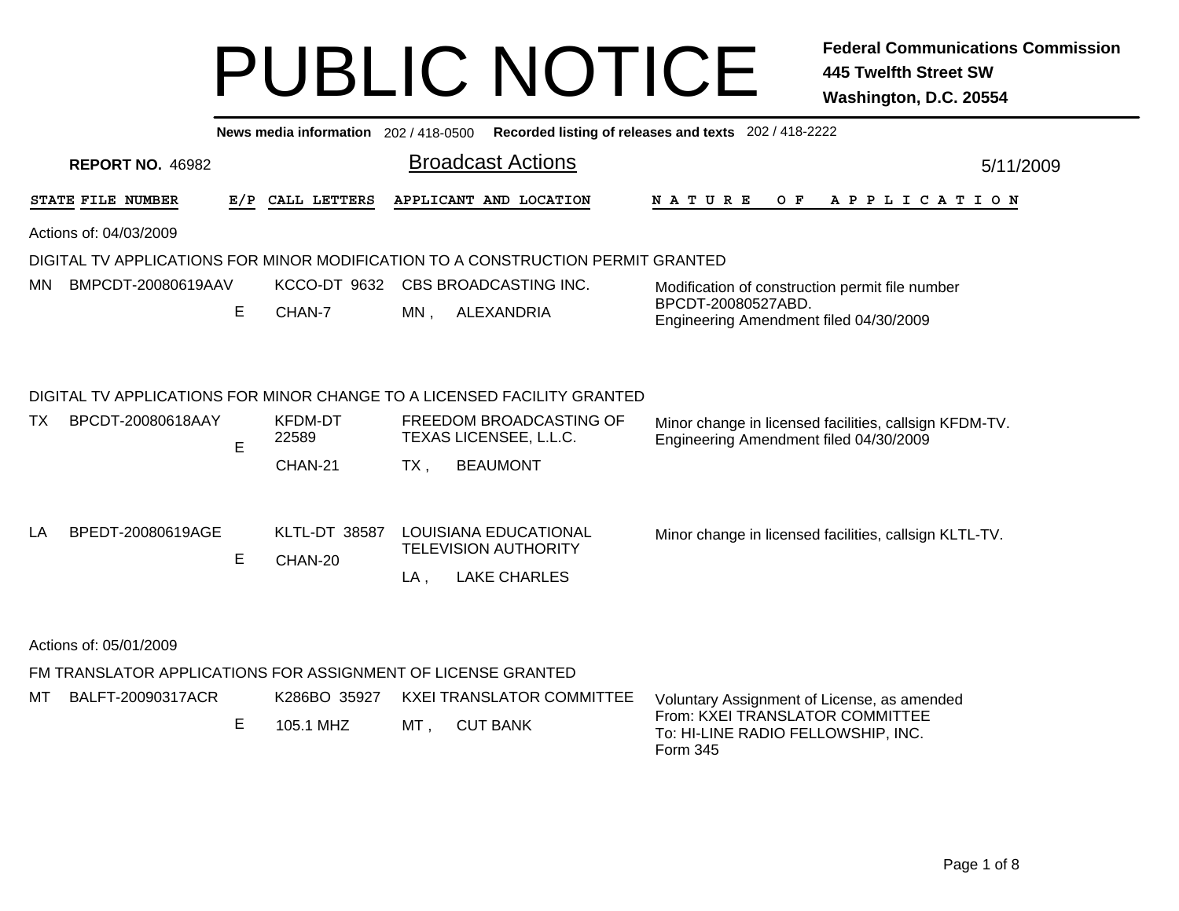| News media information 202/418-0500<br>Recorded listing of releases and texts 202 / 418-2222                      |     |                                    |        |                                                                                                                                                 |                                                                                                                                  |           |  |  |  |  |  |
|-------------------------------------------------------------------------------------------------------------------|-----|------------------------------------|--------|-------------------------------------------------------------------------------------------------------------------------------------------------|----------------------------------------------------------------------------------------------------------------------------------|-----------|--|--|--|--|--|
| <b>REPORT NO. 46982</b>                                                                                           |     |                                    |        | <b>Broadcast Actions</b>                                                                                                                        |                                                                                                                                  | 5/11/2009 |  |  |  |  |  |
| STATE FILE NUMBER                                                                                                 | E/P | CALL LETTERS                       |        | APPLICANT AND LOCATION                                                                                                                          | $O$ $F$<br><b>NATURE</b><br>A P P L I C A T I O N                                                                                |           |  |  |  |  |  |
| Actions of: 04/03/2009                                                                                            |     |                                    |        |                                                                                                                                                 |                                                                                                                                  |           |  |  |  |  |  |
| DIGITAL TV APPLICATIONS FOR MINOR MODIFICATION TO A CONSTRUCTION PERMIT GRANTED                                   |     |                                    |        |                                                                                                                                                 |                                                                                                                                  |           |  |  |  |  |  |
| BMPCDT-20080619AAV<br>MN.                                                                                         |     | KCCO-DT 9632                       |        | CBS BROADCASTING INC.                                                                                                                           | Modification of construction permit file number                                                                                  |           |  |  |  |  |  |
|                                                                                                                   | Е   | CHAN-7                             | MN,    | ALEXANDRIA                                                                                                                                      | BPCDT-20080527ABD.<br>Engineering Amendment filed 04/30/2009                                                                     |           |  |  |  |  |  |
| BPCDT-20080618AAY<br>TX.                                                                                          | E   | <b>KFDM-DT</b><br>22589<br>CHAN-21 | $TX$ , | DIGITAL TV APPLICATIONS FOR MINOR CHANGE TO A LICENSED FACILITY GRANTED<br>FREEDOM BROADCASTING OF<br>TEXAS LICENSEE, L.L.C.<br><b>BEAUMONT</b> | Minor change in licensed facilities, callsign KFDM-TV.<br>Engineering Amendment filed 04/30/2009                                 |           |  |  |  |  |  |
| BPEDT-20080619AGE<br>LA                                                                                           | E   | <b>KLTL-DT 38587</b><br>CHAN-20    | $LA$ , | LOUISIANA EDUCATIONAL<br><b>TELEVISION AUTHORITY</b><br><b>LAKE CHARLES</b>                                                                     | Minor change in licensed facilities, callsign KLTL-TV.                                                                           |           |  |  |  |  |  |
| Actions of: 05/01/2009<br>FM TRANSLATOR APPLICATIONS FOR ASSIGNMENT OF LICENSE GRANTED<br>BALFT-20090317ACR<br>МT | Е   | K286BO 35927<br>105.1 MHZ          | MT,    | <b>KXEI TRANSLATOR COMMITTEE</b><br><b>CUT BANK</b>                                                                                             | Voluntary Assignment of License, as amended<br>From: KXEI TRANSLATOR COMMITTEE<br>To: HI-LINE RADIO FELLOWSHIP, INC.<br>Form 345 |           |  |  |  |  |  |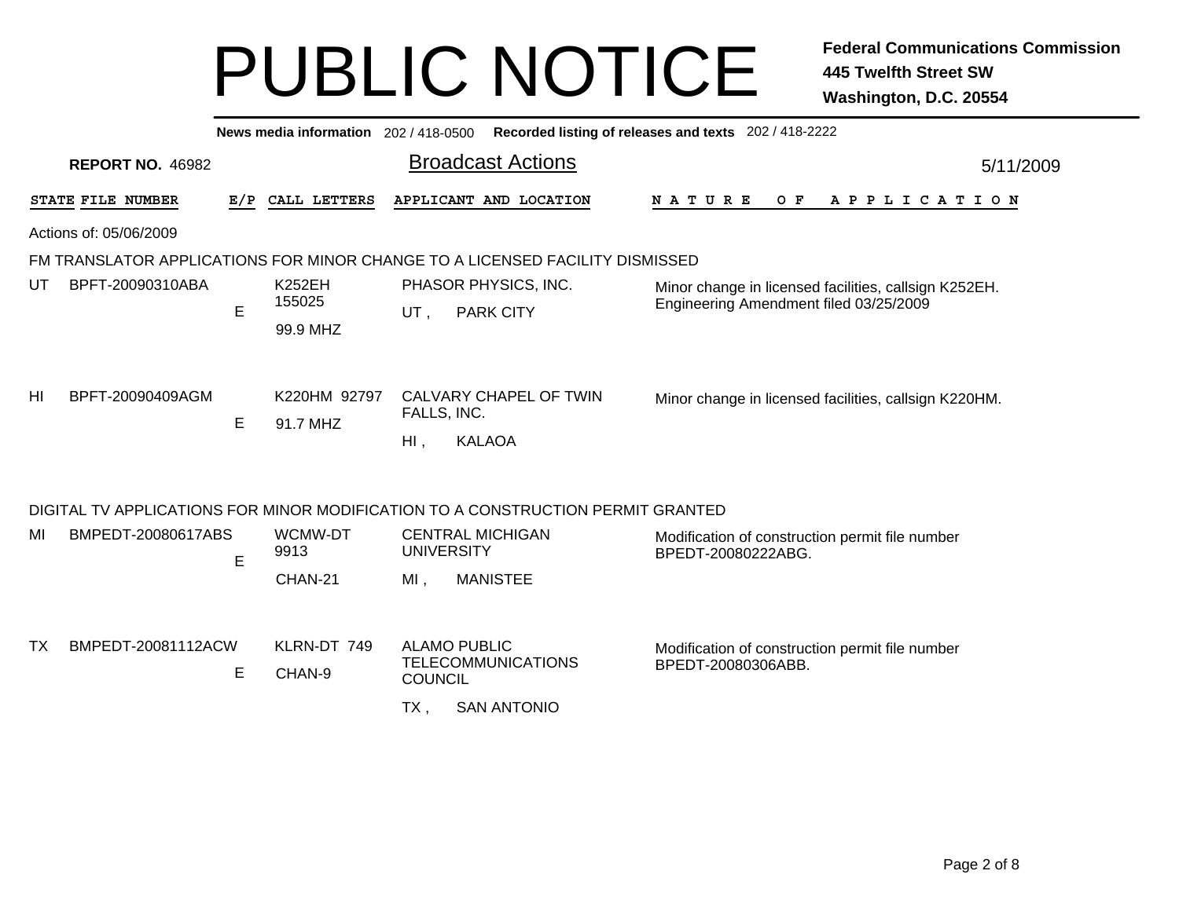|                          |     | News media information 202 / 418-0500 |                                                                                                    | Recorded listing of releases and texts 202 / 418-2222                                           |  |
|--------------------------|-----|---------------------------------------|----------------------------------------------------------------------------------------------------|-------------------------------------------------------------------------------------------------|--|
| <b>REPORT NO. 46982</b>  |     |                                       | <b>Broadcast Actions</b>                                                                           | 5/11/2009                                                                                       |  |
| <b>STATE FILE NUMBER</b> | E/P | CALL LETTERS                          | APPLICANT AND LOCATION                                                                             | NATURE<br>O F<br>A P P L I C A T I O N                                                          |  |
| Actions of: 05/06/2009   |     |                                       |                                                                                                    |                                                                                                 |  |
|                          |     |                                       | FM TRANSLATOR APPLICATIONS FOR MINOR CHANGE TO A LICENSED FACILITY DISMISSED                       |                                                                                                 |  |
| BPFT-20090310ABA<br>UT   | Е   | <b>K252EH</b><br>155025<br>99.9 MHZ   | PHASOR PHYSICS, INC.<br><b>PARK CITY</b><br>UT,                                                    | Minor change in licensed facilities, callsign K252EH.<br>Engineering Amendment filed 03/25/2009 |  |
| HI<br>BPFT-20090409AGM   | Е   | K220HM 92797<br>91.7 MHZ              | CALVARY CHAPEL OF TWIN<br>FALLS, INC.<br>$Hl$ ,<br><b>KALAOA</b>                                   | Minor change in licensed facilities, callsign K220HM.                                           |  |
|                          |     |                                       | DIGITAL TV APPLICATIONS FOR MINOR MODIFICATION TO A CONSTRUCTION PERMIT GRANTED                    |                                                                                                 |  |
| MI<br>BMPEDT-20080617ABS | Е   | WCMW-DT<br>9913<br>CHAN-21            | <b>CENTRAL MICHIGAN</b><br><b>UNIVERSITY</b><br>$MI$ ,<br><b>MANISTEE</b>                          | Modification of construction permit file number<br>BPEDT-20080222ABG.                           |  |
| ТX<br>BMPEDT-20081112ACW | Е   | KLRN-DT 749<br>CHAN-9                 | <b>ALAMO PUBLIC</b><br><b>TELECOMMUNICATIONS</b><br><b>COUNCIL</b><br>$TX$ ,<br><b>SAN ANTONIO</b> | Modification of construction permit file number<br>BPEDT-20080306ABB.                           |  |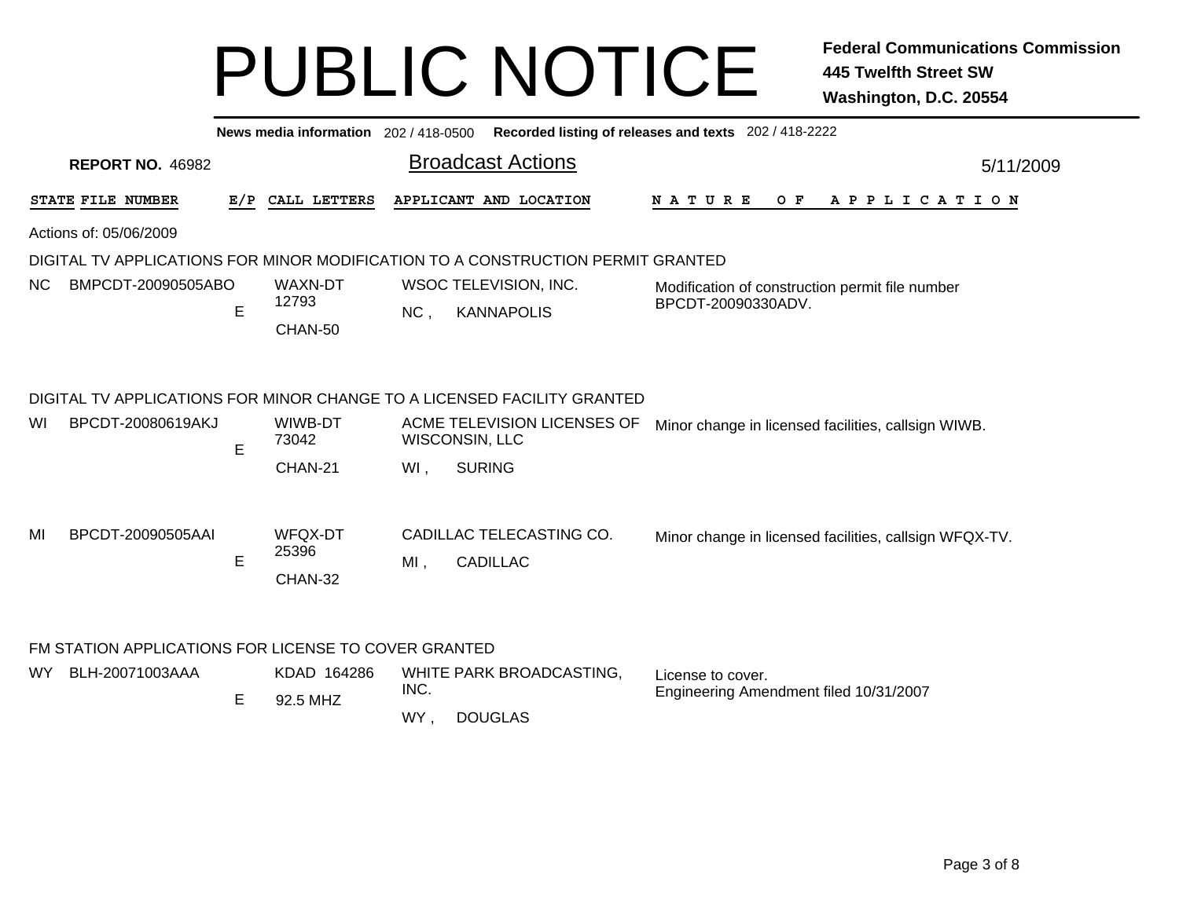|                                                      |     | News media information 202 / 418-0500 |                                  |                                                                                 | Recorded listing of releases and texts 202 / 418-2222                 |           |  |  |
|------------------------------------------------------|-----|---------------------------------------|----------------------------------|---------------------------------------------------------------------------------|-----------------------------------------------------------------------|-----------|--|--|
| <b>REPORT NO. 46982</b>                              |     |                                       |                                  | <b>Broadcast Actions</b>                                                        |                                                                       | 5/11/2009 |  |  |
| STATE FILE NUMBER                                    | E/P | CALL LETTERS                          |                                  | APPLICANT AND LOCATION                                                          | $O$ $F$<br>A P P L I C A T I O N<br>N A T U R E                       |           |  |  |
| Actions of: 05/06/2009                               |     |                                       |                                  |                                                                                 |                                                                       |           |  |  |
|                                                      |     |                                       |                                  | DIGITAL TV APPLICATIONS FOR MINOR MODIFICATION TO A CONSTRUCTION PERMIT GRANTED |                                                                       |           |  |  |
| BMPCDT-20090505ABO<br>NC.                            | E   | WAXN-DT<br>12793<br>CHAN-50           | NC,                              | WSOC TELEVISION, INC.<br><b>KANNAPOLIS</b>                                      | Modification of construction permit file number<br>BPCDT-20090330ADV. |           |  |  |
|                                                      |     |                                       |                                  | DIGITAL TV APPLICATIONS FOR MINOR CHANGE TO A LICENSED FACILITY GRANTED         |                                                                       |           |  |  |
| BPCDT-20080619AKJ<br>WI                              | E   | WIWB-DT<br>73042                      |                                  | ACME TELEVISION LICENSES OF<br>WISCONSIN, LLC                                   | Minor change in licensed facilities, callsign WIWB.                   |           |  |  |
|                                                      |     | CHAN-21                               | WI,                              | <b>SURING</b>                                                                   |                                                                       |           |  |  |
| BPCDT-20090505AAI<br>MI                              | E   | WFQX-DT<br>25396<br>CHAN-32           | $MI$ ,                           | CADILLAC TELECASTING CO.<br><b>CADILLAC</b>                                     | Minor change in licensed facilities, callsign WFQX-TV.                |           |  |  |
| FM STATION APPLICATIONS FOR LICENSE TO COVER GRANTED |     |                                       |                                  |                                                                                 |                                                                       |           |  |  |
| BLH-20071003AAA<br>WY.                               |     | KDAD 164286                           | WHITE PARK BROADCASTING,<br>INC. |                                                                                 | License to cover.                                                     |           |  |  |
|                                                      | E   | 92.5 MHZ                              |                                  |                                                                                 | Engineering Amendment filed 10/31/2007                                |           |  |  |
|                                                      |     |                                       | WY,                              | <b>DOUGLAS</b>                                                                  |                                                                       |           |  |  |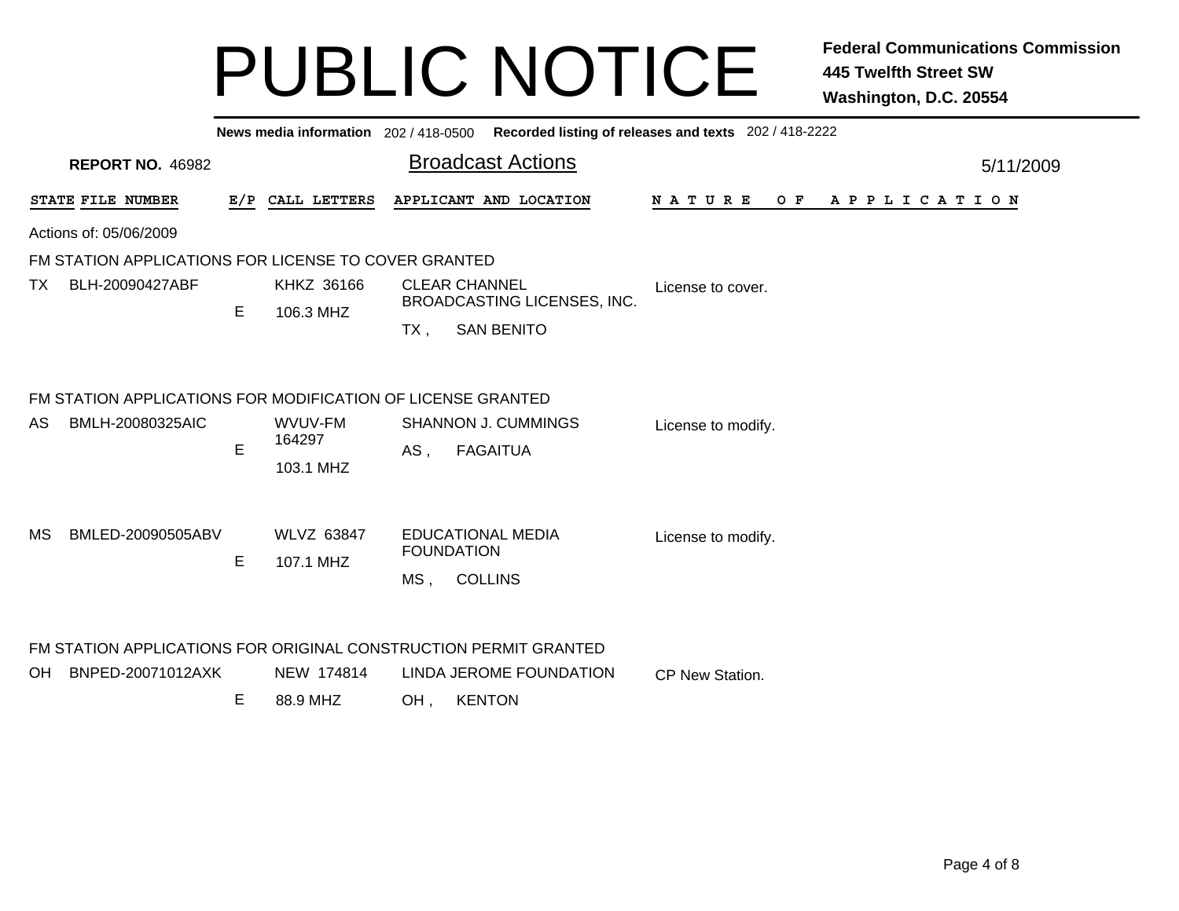|     |                                                                  |   |                         |                                                     | News media information 202 / 418-0500 Recorded listing of releases and texts 202 / 418-2222 |  |                    |  |  |  |  |     |  |  |  |  |                       |           |
|-----|------------------------------------------------------------------|---|-------------------------|-----------------------------------------------------|---------------------------------------------------------------------------------------------|--|--------------------|--|--|--|--|-----|--|--|--|--|-----------------------|-----------|
|     | <b>REPORT NO. 46982</b>                                          |   |                         |                                                     | <b>Broadcast Actions</b>                                                                    |  |                    |  |  |  |  |     |  |  |  |  |                       | 5/11/2009 |
|     | STATE FILE NUMBER                                                |   | E/P CALL LETTERS        |                                                     | APPLICANT AND LOCATION                                                                      |  | <b>NATURE</b>      |  |  |  |  | O F |  |  |  |  | A P P L I C A T I O N |           |
|     | Actions of: 05/06/2009                                           |   |                         |                                                     |                                                                                             |  |                    |  |  |  |  |     |  |  |  |  |                       |           |
|     | FM STATION APPLICATIONS FOR LICENSE TO COVER GRANTED             |   |                         |                                                     |                                                                                             |  |                    |  |  |  |  |     |  |  |  |  |                       |           |
| TX  | BLH-20090427ABF                                                  |   | KHKZ 36166<br>106.3 MHZ | <b>CLEAR CHANNEL</b><br>BROADCASTING LICENSES, INC. |                                                                                             |  | License to cover.  |  |  |  |  |     |  |  |  |  |                       |           |
|     |                                                                  | E |                         | $TX$ ,                                              | <b>SAN BENITO</b>                                                                           |  |                    |  |  |  |  |     |  |  |  |  |                       |           |
|     | FM STATION APPLICATIONS FOR MODIFICATION OF LICENSE GRANTED      |   |                         |                                                     |                                                                                             |  |                    |  |  |  |  |     |  |  |  |  |                       |           |
| AS  | BMLH-20080325AIC                                                 | E | WVUV-FM<br>164297       | <b>SHANNON J. CUMMINGS</b><br><b>FAGAITUA</b>       |                                                                                             |  | License to modify. |  |  |  |  |     |  |  |  |  |                       |           |
|     |                                                                  |   | 103.1 MHZ               | AS,                                                 |                                                                                             |  |                    |  |  |  |  |     |  |  |  |  |                       |           |
| MS  | BMLED-20090505ABV                                                |   | <b>WLVZ 63847</b>       | <b>EDUCATIONAL MEDIA</b>                            |                                                                                             |  | License to modify. |  |  |  |  |     |  |  |  |  |                       |           |
|     |                                                                  | E | 107.1 MHZ               |                                                     | <b>FOUNDATION</b>                                                                           |  |                    |  |  |  |  |     |  |  |  |  |                       |           |
|     |                                                                  |   |                         | $MS$ ,                                              | <b>COLLINS</b>                                                                              |  |                    |  |  |  |  |     |  |  |  |  |                       |           |
|     | FM STATION APPLICATIONS FOR ORIGINAL CONSTRUCTION PERMIT GRANTED |   |                         |                                                     |                                                                                             |  |                    |  |  |  |  |     |  |  |  |  |                       |           |
| OH. | BNPED-20071012AXK                                                |   | NEW 174814              |                                                     | LINDA JEROME FOUNDATION                                                                     |  | CP New Station.    |  |  |  |  |     |  |  |  |  |                       |           |
|     |                                                                  | Е | 88.9 MHZ                | OH.                                                 | <b>KENTON</b>                                                                               |  |                    |  |  |  |  |     |  |  |  |  |                       |           |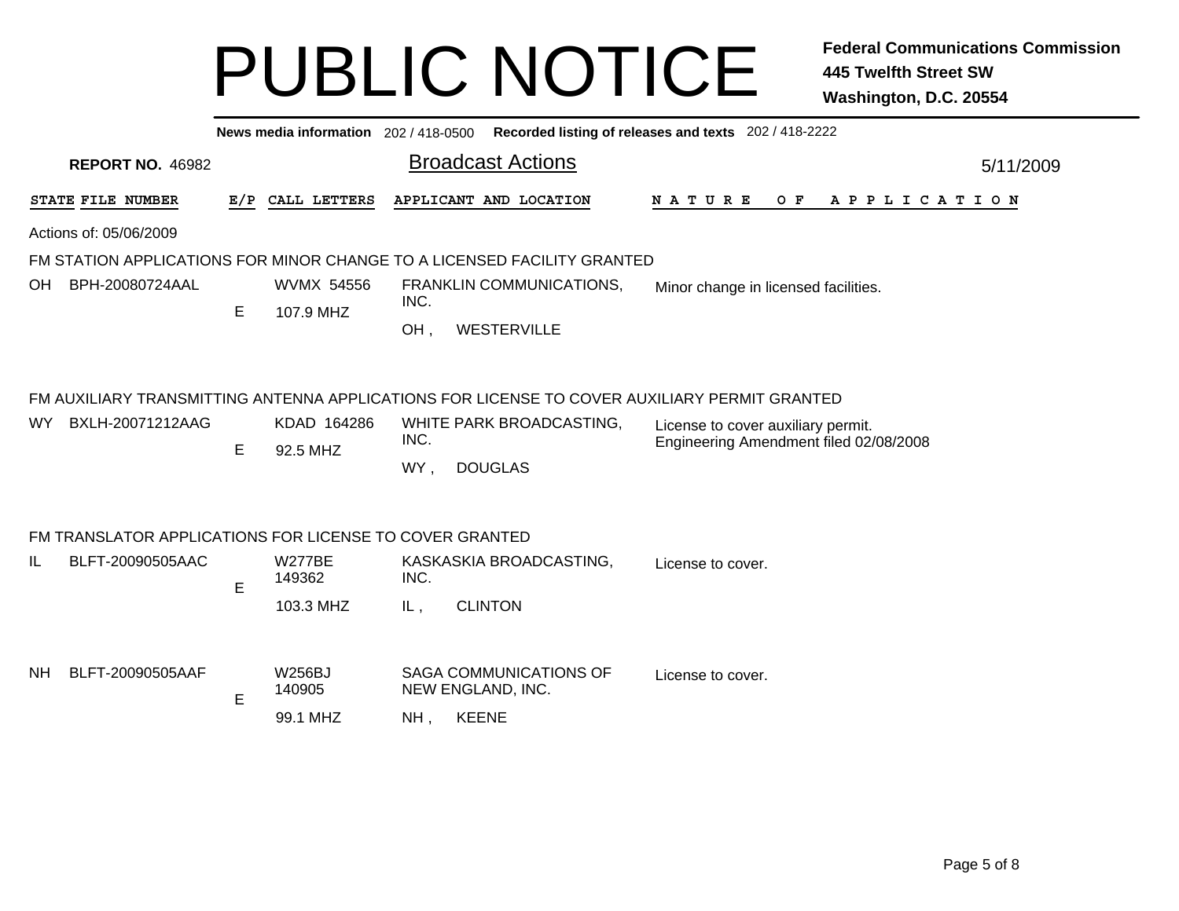|                                                         |     | News media information 202/418-0500 | Recorded listing of releases and texts 202 / 418-2222                                                                                                                                                                                     |  |  |  |  |  |  |  |  |
|---------------------------------------------------------|-----|-------------------------------------|-------------------------------------------------------------------------------------------------------------------------------------------------------------------------------------------------------------------------------------------|--|--|--|--|--|--|--|--|
| <b>REPORT NO. 46982</b>                                 |     |                                     | <b>Broadcast Actions</b><br>5/11/2009                                                                                                                                                                                                     |  |  |  |  |  |  |  |  |
| STATE FILE NUMBER                                       | E/P | CALL LETTERS                        | APPLICANT AND LOCATION<br>N A T U R E<br>O F<br>A P P L I C A T I O N                                                                                                                                                                     |  |  |  |  |  |  |  |  |
| Actions of: 05/06/2009                                  |     |                                     |                                                                                                                                                                                                                                           |  |  |  |  |  |  |  |  |
|                                                         |     |                                     | FM STATION APPLICATIONS FOR MINOR CHANGE TO A LICENSED FACILITY GRANTED                                                                                                                                                                   |  |  |  |  |  |  |  |  |
| BPH-20080724AAL<br>OH.                                  | E   | <b>WVMX 54556</b><br>107.9 MHZ      | FRANKLIN COMMUNICATIONS,<br>Minor change in licensed facilities.<br>INC.                                                                                                                                                                  |  |  |  |  |  |  |  |  |
|                                                         |     |                                     | OH,<br>WESTERVILLE                                                                                                                                                                                                                        |  |  |  |  |  |  |  |  |
| BXLH-20071212AAG<br>WY.                                 | Е   | KDAD 164286<br>92.5 MHZ             | FM AUXILIARY TRANSMITTING ANTENNA APPLICATIONS FOR LICENSE TO COVER AUXILIARY PERMIT GRANTED<br>WHITE PARK BROADCASTING,<br>License to cover auxiliary permit.<br>INC.<br>Engineering Amendment filed 02/08/2008<br>WY,<br><b>DOUGLAS</b> |  |  |  |  |  |  |  |  |
| FM TRANSLATOR APPLICATIONS FOR LICENSE TO COVER GRANTED |     |                                     |                                                                                                                                                                                                                                           |  |  |  |  |  |  |  |  |
| BLFT-20090505AAC<br>IL                                  | E   | <b>W277BE</b><br>149362             | KASKASKIA BROADCASTING,<br>License to cover.<br>INC.                                                                                                                                                                                      |  |  |  |  |  |  |  |  |
|                                                         |     | 103.3 MHZ                           | <b>CLINTON</b><br>IL,                                                                                                                                                                                                                     |  |  |  |  |  |  |  |  |
| BLFT-20090505AAF<br>NH.                                 | Е   | <b>W256BJ</b><br>140905<br>99.1 MHZ | <b>SAGA COMMUNICATIONS OF</b><br>License to cover.<br>NEW ENGLAND, INC.<br><b>KEENE</b><br>NH.                                                                                                                                            |  |  |  |  |  |  |  |  |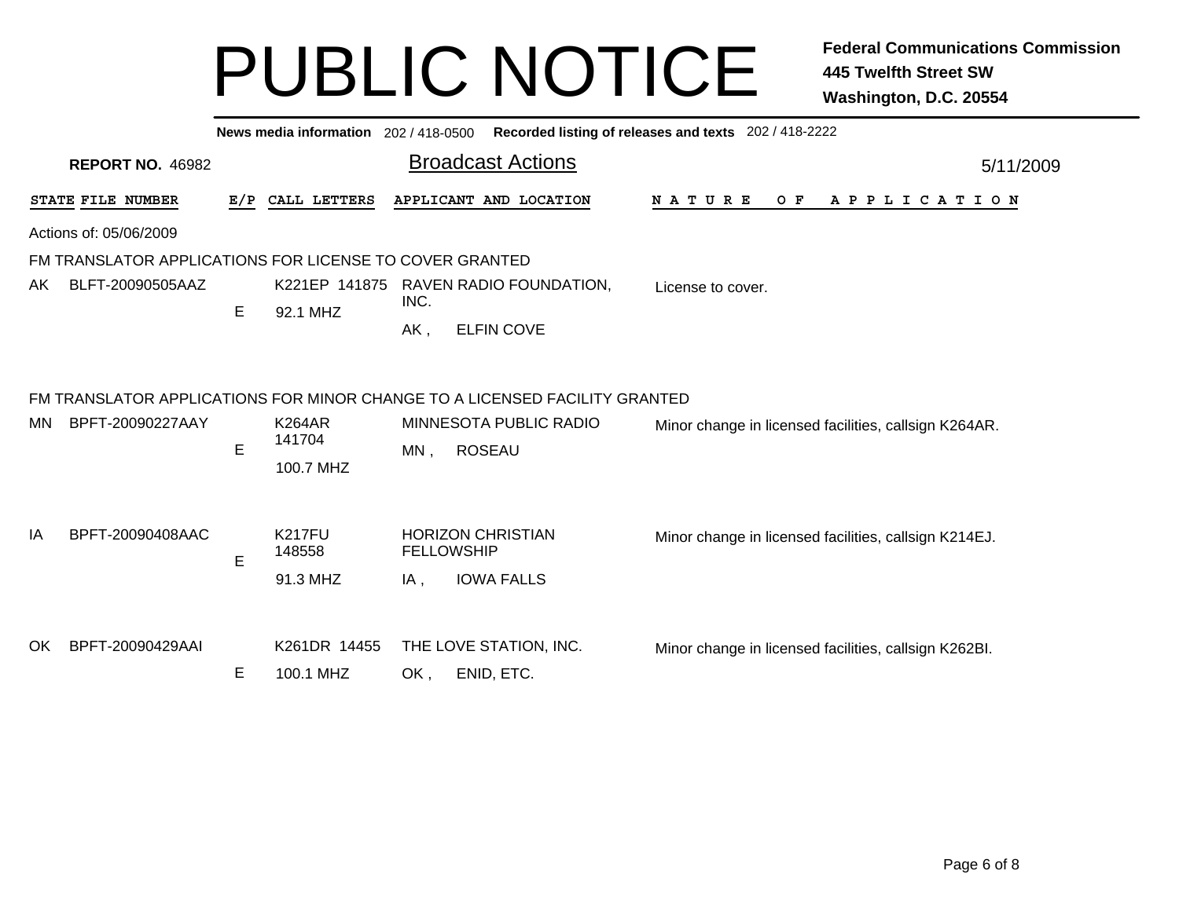|    |                                                         |     | News media information 202 / 418-0500 |                             |                                                                                                                       | Recorded listing of releases and texts 202 / 418-2222 |           |
|----|---------------------------------------------------------|-----|---------------------------------------|-----------------------------|-----------------------------------------------------------------------------------------------------------------------|-------------------------------------------------------|-----------|
|    | <b>REPORT NO. 46982</b>                                 |     |                                       |                             | <b>Broadcast Actions</b>                                                                                              |                                                       | 5/11/2009 |
|    | STATE FILE NUMBER                                       | E/P | CALL LETTERS                          |                             | APPLICANT AND LOCATION                                                                                                | N A T U R E<br>O F<br>A P P L I C A T I O N           |           |
|    | Actions of: 05/06/2009                                  |     |                                       |                             |                                                                                                                       |                                                       |           |
|    | FM TRANSLATOR APPLICATIONS FOR LICENSE TO COVER GRANTED |     |                                       |                             |                                                                                                                       |                                                       |           |
| AK | BLFT-20090505AAZ                                        | Е   | 92.1 MHZ                              | INC.                        | K221EP 141875 RAVEN RADIO FOUNDATION,                                                                                 | License to cover.                                     |           |
|    |                                                         |     |                                       | AK,                         | <b>ELFIN COVE</b>                                                                                                     |                                                       |           |
| МN | BPFT-20090227AAY                                        | E   | <b>K264AR</b><br>141704<br>100.7 MHZ  | MN,                         | FM TRANSLATOR APPLICATIONS FOR MINOR CHANGE TO A LICENSED FACILITY GRANTED<br>MINNESOTA PUBLIC RADIO<br><b>ROSEAU</b> | Minor change in licensed facilities, callsign K264AR. |           |
| ΙA | BPFT-20090408AAC                                        | E   | <b>K217FU</b><br>148558<br>91.3 MHZ   | <b>FELLOWSHIP</b><br>$IA$ , | <b>HORIZON CHRISTIAN</b><br><b>IOWA FALLS</b>                                                                         | Minor change in licensed facilities, callsign K214EJ. |           |
| OK | BPFT-20090429AAI                                        | Е   | K261DR 14455<br>100.1 MHZ             | OK,                         | THE LOVE STATION, INC.<br>ENID, ETC.                                                                                  | Minor change in licensed facilities, callsign K262BI. |           |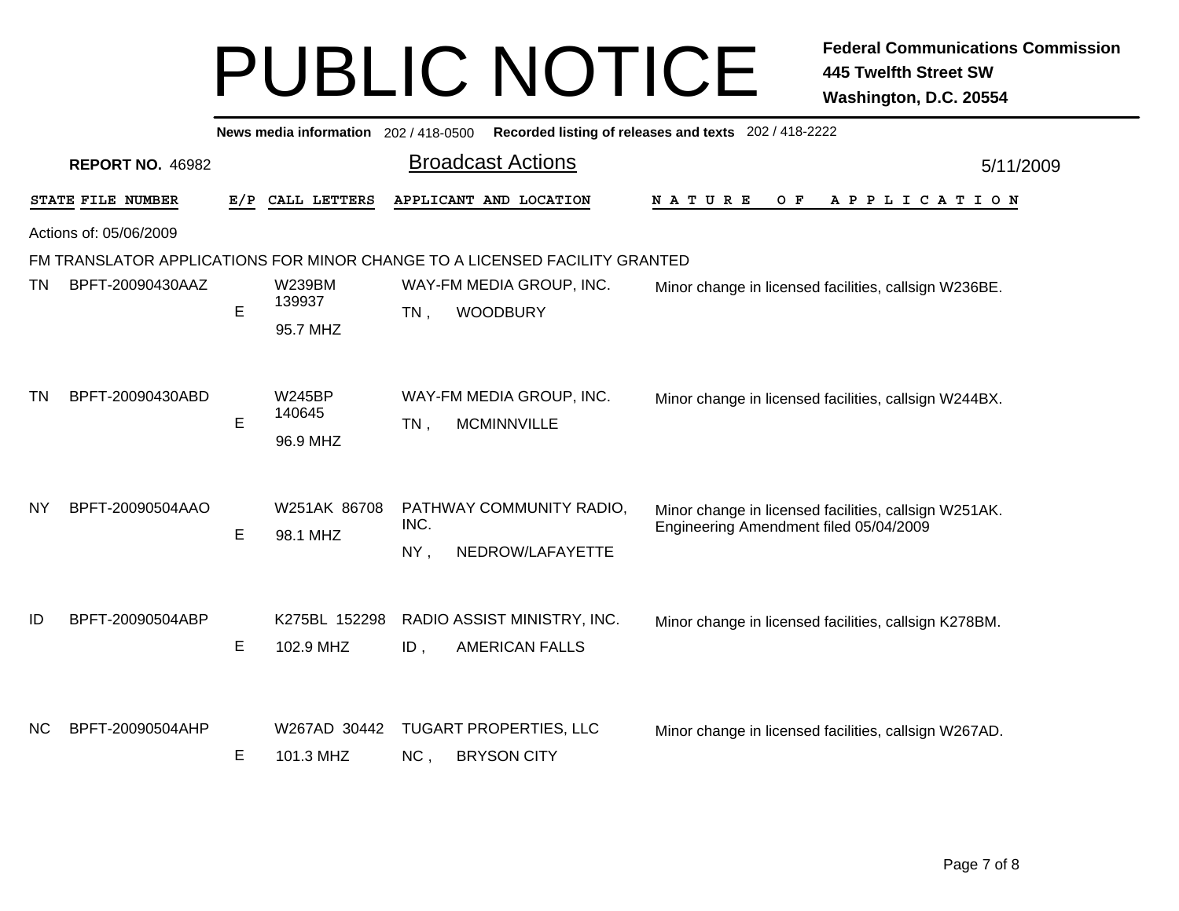|                        |                                                                            |             | News media information 202 / 418-0500 |             |                                                      | Recorded listing of releases and texts 202 / 418-2222                                           |           |  |  |  |  |
|------------------------|----------------------------------------------------------------------------|-------------|---------------------------------------|-------------|------------------------------------------------------|-------------------------------------------------------------------------------------------------|-----------|--|--|--|--|
|                        | <b>REPORT NO. 46982</b>                                                    |             |                                       |             | <b>Broadcast Actions</b>                             |                                                                                                 | 5/11/2009 |  |  |  |  |
|                        | STATE FILE NUMBER                                                          | E/P         | CALL LETTERS                          |             | APPLICANT AND LOCATION                               | N A T U R E<br>O F<br>APPLICATION                                                               |           |  |  |  |  |
| Actions of: 05/06/2009 |                                                                            |             |                                       |             |                                                      |                                                                                                 |           |  |  |  |  |
|                        | FM TRANSLATOR APPLICATIONS FOR MINOR CHANGE TO A LICENSED FACILITY GRANTED |             |                                       |             |                                                      |                                                                                                 |           |  |  |  |  |
| ΤN                     | BPFT-20090430AAZ                                                           | E           | <b>W239BM</b><br>139937<br>95.7 MHZ   | $TN$ ,      | WAY-FM MEDIA GROUP, INC.<br><b>WOODBURY</b>          | Minor change in licensed facilities, callsign W236BE.                                           |           |  |  |  |  |
| <b>TN</b>              | BPFT-20090430ABD                                                           | $\mathsf E$ | <b>W245BP</b><br>140645<br>96.9 MHZ   | TN,         | WAY-FM MEDIA GROUP, INC.<br><b>MCMINNVILLE</b>       | Minor change in licensed facilities, callsign W244BX.                                           |           |  |  |  |  |
| <b>NY</b>              | BPFT-20090504AAO                                                           | E           | W251AK 86708<br>98.1 MHZ              | INC.<br>NY, | PATHWAY COMMUNITY RADIO,<br>NEDROW/LAFAYETTE         | Minor change in licensed facilities, callsign W251AK.<br>Engineering Amendment filed 05/04/2009 |           |  |  |  |  |
| ID                     | BPFT-20090504ABP                                                           | Е           | K275BL 152298<br>102.9 MHZ            | ID,         | RADIO ASSIST MINISTRY, INC.<br><b>AMERICAN FALLS</b> | Minor change in licensed facilities, callsign K278BM.                                           |           |  |  |  |  |
| <b>NC</b>              | BPFT-20090504AHP                                                           | E           | W267AD 30442<br>101.3 MHZ             | NC,         | <b>TUGART PROPERTIES, LLC</b><br><b>BRYSON CITY</b>  | Minor change in licensed facilities, callsign W267AD.                                           |           |  |  |  |  |